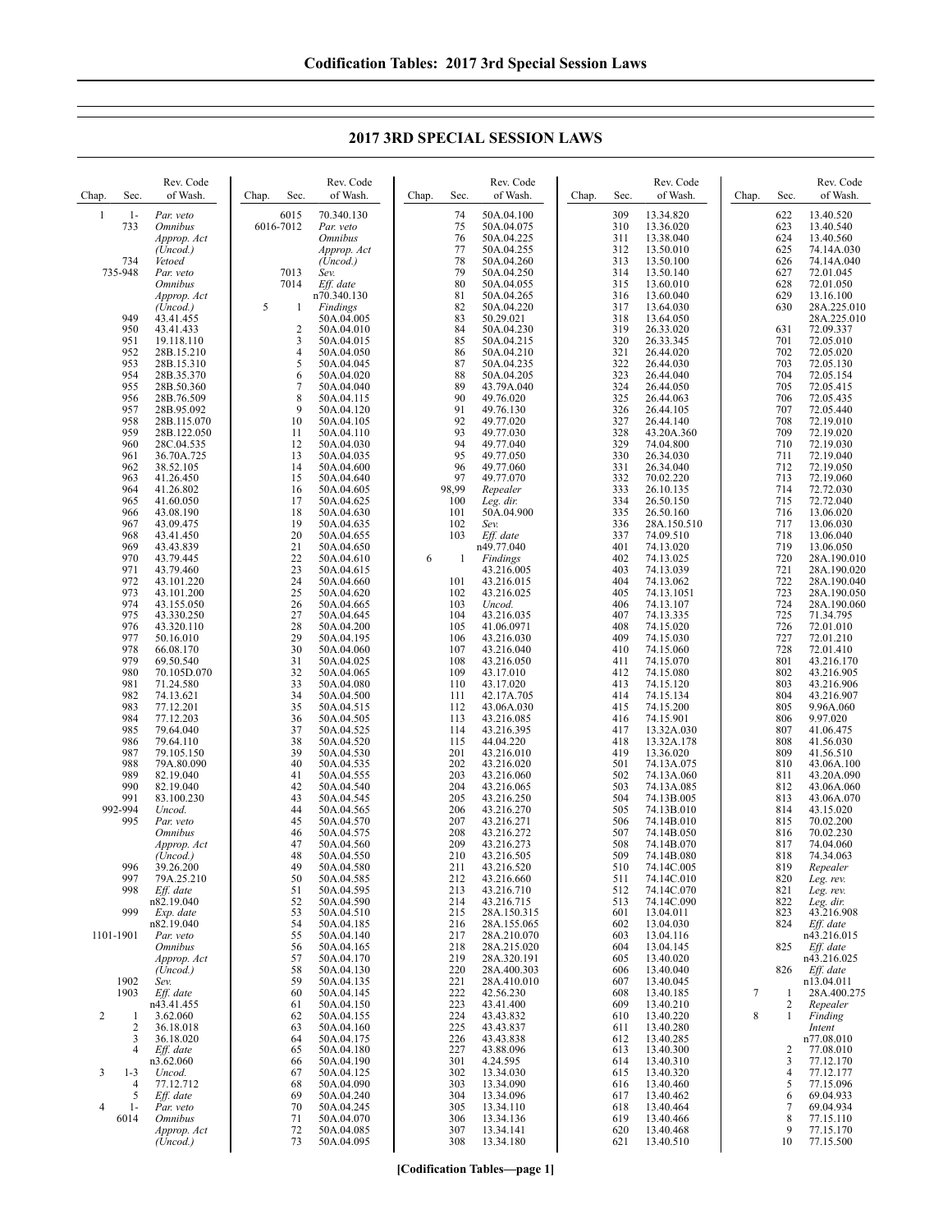**2017 3RD SPECIAL SESSION LAWS**

| Chap.          | Rev. Code<br>of Wash.<br>Sec.        | Rev. Code<br>of Wash.<br>Chap.<br>Sec. | Rev. Code<br>Sec.<br>of Wash.<br>Chap.   | Rev. Code<br>of Wash.<br>Chap.<br>Sec. | Rev. Code<br>of Wash.<br>Sec.<br>Chap.        |
|----------------|--------------------------------------|----------------------------------------|------------------------------------------|----------------------------------------|-----------------------------------------------|
| $\mathbf{1}$   | $1-$                                 | 6015                                   | 74                                       | 309                                    | 622                                           |
|                | Par. veto                            | 70.340.130                             | 50A.04.100                               | 13.34.820                              | 13.40.520                                     |
|                | 733                                  | 6016-7012                              | 50A.04.075                               | 310                                    | 623                                           |
|                | <i><b>Omnibus</b></i>                | Par. veto                              | 75                                       | 13.36.020                              | 13.40.540                                     |
|                | Approp. Act                          | <b>Omnibus</b>                         | 76<br>50A.04.225                         | 311<br>13.38.040                       | 624<br>13.40.560                              |
|                | (Uncod.)                             | Approp. Act                            | 77<br>50A.04.255                         | 312<br>13.50.010                       | 625<br>74.14A.030<br>74.14A.040               |
| 735-948        | 734<br>Vetoed<br>Par. veto           | (Uncod.)<br>7013<br>Sev.               | 78<br>50A.04.260<br>79<br>50A.04.250     | 313<br>13.50.100<br>314<br>13.50.140   | 626<br>627<br>72.01.045                       |
|                | <i><b>Omnibus</b></i>                | 7014<br>Eff. date                      | 80<br>50A.04.055                         | 315<br>13.60.010                       | 628<br>72.01.050                              |
|                | Approp. Act                          | n70.340.130                            | 81<br>50A.04.265                         | 316<br>13.60.040                       | 629<br>13.16.100                              |
|                | (Uncod.)<br>949<br>43.41.455         | 5<br>Findings<br>1<br>50A.04.005       | 82<br>50A.04.220<br>83<br>50.29.021      | 317<br>13.64.030<br>318<br>13.64.050   | 630<br>28A.225.010<br>28A.225.010             |
|                | 43.41.433                            | $\overline{2}$                         | 84                                       | 319                                    | 631                                           |
|                | 950                                  | 50A.04.010                             | 50A.04.230                               | 26.33.020                              | 72.09.337                                     |
|                | 951                                  | 3                                      | 85                                       | 320                                    | 72.05.010                                     |
|                | 19.118.110                           | 50A.04.015                             | 50A.04.215                               | 26.33.345                              | 701                                           |
|                | 952                                  | 4                                      | 50A.04.210                               | 321                                    | 702                                           |
|                | 28B.15.210                           | 50A.04.050                             | 86                                       | 26.44.020                              | 72.05.020                                     |
|                | 953                                  | 5                                      | 87                                       | 322                                    | 703                                           |
|                | 28B.15.310                           | 50A.04.045                             | 50A.04.235                               | 26.44.030                              | 72.05.130                                     |
|                | 954                                  | 6                                      | 88                                       | 323                                    | 704                                           |
|                | 28B.35.370                           | 50A.04.020                             | 50A.04.205                               | 26.44.040                              | 72.05.154                                     |
|                | 955                                  | 7                                      | 89                                       | 324                                    | 705                                           |
|                | 28B.50.360                           | 50A.04.040                             | 43.79A.040                               | 26.44.050                              | 72.05.415                                     |
|                | 956                                  | $\,$ 8 $\,$                            | 90                                       | 325                                    | 706                                           |
|                | 28B.76.509                           | 50A.04.115                             | 49.76.020                                | 26.44.063                              | 72.05.435                                     |
|                | 957                                  | 9                                      | 91                                       | 326                                    | 707                                           |
|                | 28B.95.092                           | 50A.04.120                             | 49.76.130                                | 26.44.105                              | 72.05.440                                     |
|                | 958                                  | 10                                     | 92                                       | 327                                    | 708                                           |
|                | 28B.115.070                          | 50A.04.105                             | 49.77.020                                | 26.44.140                              | 72.19.010                                     |
|                | 959                                  | 11                                     | 93                                       | 328                                    | 709                                           |
|                | 28B.122.050                          | 50A.04.110                             | 49.77.030                                | 43.20A.360                             | 72.19.020                                     |
|                | 960                                  | 12                                     | 94                                       | 329                                    | 710                                           |
|                | 28C.04.535                           | 50A.04.030                             | 49.77.040                                | 74.04.800                              | 72.19.030                                     |
|                | 961                                  | 13                                     | 95                                       | 330                                    | 711                                           |
|                | 36.70A.725                           | 50A.04.035                             | 49.77.050                                | 26.34.030                              | 72.19.040                                     |
|                | 962                                  | 14                                     | 96                                       | 331                                    | 712                                           |
|                | 38.52.105                            | 50A.04.600                             | 49.77.060                                | 26.34.040                              | 72.19.050                                     |
|                | 963                                  | 15                                     | 97                                       | 332                                    | 713                                           |
|                | 41.26.450                            | 50A.04.640                             | 49.77.070                                | 70.02.220                              | 72.19.060                                     |
|                | 964                                  | 16                                     | 98,99                                    | 333                                    | 714                                           |
|                | 41.26.802                            | 50A.04.605                             | Repealer                                 | 26.10.135                              | 72.72.030                                     |
|                | 965                                  | 17                                     | 100                                      | 334                                    | 715                                           |
|                | 41.60.050                            | 50A.04.625                             | Leg. dir.                                | 26.50.150                              | 72.72.040                                     |
|                | 966<br>43.08.190                     | 18<br>50A.04.630<br>19                 | 101<br>50A.04.900                        | 335<br>26.50.160                       | 716<br>13.06.020                              |
|                | 967<br>43.09.475<br>968<br>43.41.450 | 50A.04.635<br>20<br>50A.04.655         | 102<br>Sev.<br>103<br>Eff. date          | 336<br>28A.150.510<br>337<br>74.09.510 | 717<br>13.06.030<br>718<br>13.06.040          |
|                | 969<br>43.43.839                     | 21<br>50A.04.650                       | n49.77.040                               | 401<br>74.13.020                       | 719<br>13.06.050                              |
| 971            | 970<br>43.79.445<br>43.79.460        | 22<br>50A.04.610<br>23<br>50A.04.615   | 6<br>Findings<br>1<br>43.216.005         | 402<br>74.13.025<br>403<br>74.13.039   | 720<br>28A.190.010<br>721<br>28A.190.020      |
|                | 972                                  | 24                                     | 101                                      | 404                                    | 722                                           |
|                | 43.101.220                           | 50A.04.660                             | 43.216.015                               | 74.13.062                              | 28A.190.040                                   |
|                | 973                                  | 25                                     | 102                                      | 405                                    | 723                                           |
|                | 43.101.200                           | 50A.04.620                             | 43.216.025                               | 74.13.1051                             | 28A.190.050                                   |
|                | 974                                  | 26                                     | 103                                      | 406                                    | 724                                           |
|                | 43.155.050                           | 50A.04.665                             | Uncod.                                   | 74.13.107                              | 28A.190.060                                   |
|                | 975                                  | 27                                     | 104                                      | 407                                    | 725                                           |
|                | 43.330.250                           | 50A.04.645                             | 43.216.035                               | 74.13.335                              | 71.34.795                                     |
|                | 976                                  | 28                                     | 105                                      | 408                                    | 726                                           |
|                | 43.320.110                           | 50A.04.200                             | 41.06.0971                               | 74.15.020                              | 72.01.010                                     |
|                | 977                                  | 29                                     | 106                                      | 409                                    | 727                                           |
|                | 50.16.010                            | 50A.04.195                             | 43.216.030                               | 74.15.030                              | 72.01.210                                     |
|                | 978                                  | 30                                     | 107                                      | 410                                    | 728                                           |
|                | 66.08.170                            | 50A.04.060                             | 43.216.040                               | 74.15.060                              | 72.01.410                                     |
|                | 979                                  | 31                                     | 108                                      | 411                                    | 801                                           |
|                | 69.50.540                            | 50A.04.025                             | 43.216.050                               | 74.15.070                              | 43.216.170                                    |
|                | 980                                  | 32                                     | 109                                      | 412                                    | 802                                           |
|                | 70.105D.070                          | 50A.04.065                             | 43.17.010                                | 74.15.080                              | 43.216.905                                    |
|                | 981                                  | 33                                     | 110                                      | 413                                    | 803                                           |
|                | 71.24.580                            | 50A.04.080                             | 43.17.020                                | 74.15.120                              | 43.216.906                                    |
|                | 982                                  | 34                                     | 111                                      | 414                                    | 804                                           |
|                | 74.13.621                            | 50A.04.500                             | 42.17A.705                               | 74.15.134                              | 43.216.907                                    |
|                | 983                                  | 35                                     | 112                                      | 415                                    | 805                                           |
|                | 77.12.201                            | 50A.04.515                             | 43.06A.030                               | 74.15.200                              | 9.96A.060                                     |
|                | 984                                  | 36                                     | 113                                      | 416                                    | 806                                           |
|                | 77.12.203                            | 50A.04.505                             | 43.216.085                               | 74.15.901                              | 9.97.020                                      |
|                | 985                                  | 37                                     | 114                                      | 417                                    | 807                                           |
|                | 79.64.040                            | 50A.04.525                             | 43.216.395                               | 13.32A.030                             | 41.06.475                                     |
|                | 986                                  | 38                                     | 115                                      | 418                                    | 808                                           |
|                | 79.64.110                            | 50A.04.520                             | 44.04.220                                | 13.32A.178                             | 41.56.030                                     |
|                | 987                                  | 39                                     | 201                                      | 419                                    | 809                                           |
|                | 79.105.150                           | 50A.04.530                             | 43.216.010                               | 13.36.020                              | 41.56.510                                     |
|                | 988                                  | 40                                     | 202                                      | 501                                    | 810                                           |
|                | 79A.80.090                           | 50A.04.535                             | 43.216.020                               | 74.13A.075                             | 43.06A.100                                    |
|                | 989                                  | 41                                     | 203                                      | 502                                    | 811                                           |
|                | 82.19.040                            | 50A.04.555                             | 43.216.060                               | 74.13A.060                             | 43.20A.090                                    |
|                | 990                                  | 42                                     | 204                                      | 503                                    | 812                                           |
|                | 82.19.040                            | 50A.04.540                             | 43.216.065                               | 74.13A.085                             | 43.06A.060                                    |
| 991            | 83.100.230                           | 43<br>50A.04.545                       | 205<br>43.216.250                        | 504<br>74.13B.005                      | 813<br>43.06A.070                             |
| 992-994        | Uncod.<br>995<br>Par. veto           | 44<br>50A.04.565<br>45<br>50A.04.570   | 206<br>43.216.270<br>207<br>43.216.271   | 505<br>74.13B.010<br>506<br>74.14B.010 | 814<br>43.15.020<br>815<br>70.02.200          |
|                | <i><b>Omnibus</b></i>                | 46<br>50A.04.575                       | 208<br>43.216.272                        | 507<br>74.14B.050                      | 816<br>70.02.230                              |
|                | Approp. Act                          | 47<br>50A.04.560                       | 209<br>43.216.273                        | 508<br>74.14B.070                      | 74.04.060<br>817                              |
|                | (Uncod.)<br>996<br>39.26.200         | 48<br>50A.04.550<br>50A.04.580<br>49   | 210<br>43.216.505<br>211<br>43.216.520   | 509<br>74.14B.080<br>510<br>74.14C.005 | 818<br>74.34.063<br>819<br>Repealer           |
|                | 997                                  | 50                                     | 212                                      | 511                                    | 820                                           |
|                | 79A.25.210                           | 50A.04.585                             | 43.216.660                               | 74.14C.010                             | Leg. rev.                                     |
|                | 998<br>Eff. date<br>n82.19.040       | 51<br>50A.04.595<br>52<br>50A.04.590   | 213<br>43.216.710<br>214                 | 512<br>74.14C.070<br>513<br>74.14C.090 | 821<br>Leg. rev.<br>822                       |
|                | 999<br>Exp. date                     | 53<br>50A.04.510                       | 43.216.715<br>215<br>28A.150.315         | 13.04.011<br>601                       | Leg. dir.<br>823<br>43.216.908                |
|                | n82.19.040                           | 54<br>50A.04.185                       | 216<br>28A.155.065                       | 602<br>13.04.030                       | 824<br>Eff. date                              |
| 1101-1901      | Par. veto<br><i><b>Omnibus</b></i>   | 55<br>50A.04.140<br>56<br>50A.04.165   | 217<br>28A.210.070<br>28A.215.020<br>218 | 603<br>13.04.116<br>13.04.145<br>604   | n43.216.015<br>825<br>Eff. date               |
|                | Approp. Act                          | 57<br>50A.04.170                       | 219<br>28A.320.191                       | 13.40.020<br>605                       | n43.216.025                                   |
|                | (Uncod.)                             | 58<br>50A.04.130                       | 220<br>28A.400.303                       | 13.40.040<br>606                       | 826<br>Eff. date                              |
| 1902<br>1903   | Sev.<br>Eff. date                    | 59<br>50A.04.135<br>60<br>50A.04.145   | 221<br>28A.410.010<br>222<br>42.56.230   | 13.40.045<br>607<br>608<br>13.40.185   | n13.04.011<br>7<br>28A.400.275<br>1           |
|                | n43.41.455                           | 61<br>50A.04.150                       | 223<br>43.41.400                         | 609<br>13.40.210                       | 2<br>Repealer                                 |
| 2              | 3.62.060                             | 62                                     | 224                                      | 610                                    | 8                                             |
|                | 1                                    | 50A.04.155                             | 43.43.832                                | 13.40.220                              | $\mathbf{1}$                                  |
|                | 2                                    | 50A.04.160                             | 225                                      | 13.40.280                              | Finding                                       |
|                | 36.18.018                            | 63                                     | 43.43.837                                | 611                                    | Intent                                        |
|                | 36.18.020<br>3                       | 50A.04.175<br>64                       | 226<br>43.43.838                         | 612<br>13.40.285                       | n77.08.010                                    |
|                | 4                                    | 50A.04.180                             | 227                                      | 13.40.300                              | 2                                             |
|                | Eff. date                            | 65                                     | 43.88.096                                | 613                                    | 77.08.010                                     |
| 3              | n3.62.060<br>$1 - 3$<br>Uncod.       | 66<br>50A.04.190<br>50A.04.125<br>67   | 301<br>4.24.595<br>302<br>13.34.030      | 13.40.310<br>614<br>13.40.320<br>615   | 3<br>77.12.170<br>$\overline{4}$<br>77.12.177 |
|                | 77.12.712                            | 68                                     | 303                                      | 616                                    | 5                                             |
|                | 4                                    | 50A.04.090                             | 13.34.090                                | 13.40.460                              | 77.15.096                                     |
| $\overline{4}$ | 5                                    | 69                                     | 13.34.096                                | 13.40.462                              | 6                                             |
|                | Eff. date                            | 50A.04.240                             | 304                                      | 617                                    | 69.04.933                                     |
| 6014           | $1-$<br>Par. veto<br><b>Omnibus</b>  | 70<br>50A.04.245<br>71<br>50A.04.070   | 305<br>13.34.110<br>306<br>13.34.136     | 13.40.464<br>618<br>619<br>13.40.466   | 7<br>69.04.934<br>8<br>77.15.110              |
|                | Approp. Act                          | 72<br>50A.04.085                       | 307<br>13.34.141                         | 620<br>13.40.468                       | 9<br>77.15.170                                |
|                | (Uncod.)                             | 73<br>50A.04.095                       | 13.34.180<br>308                         | 13.40.510<br>621                       | 10<br>77.15.500                               |

**[Codification Tables—page 1]**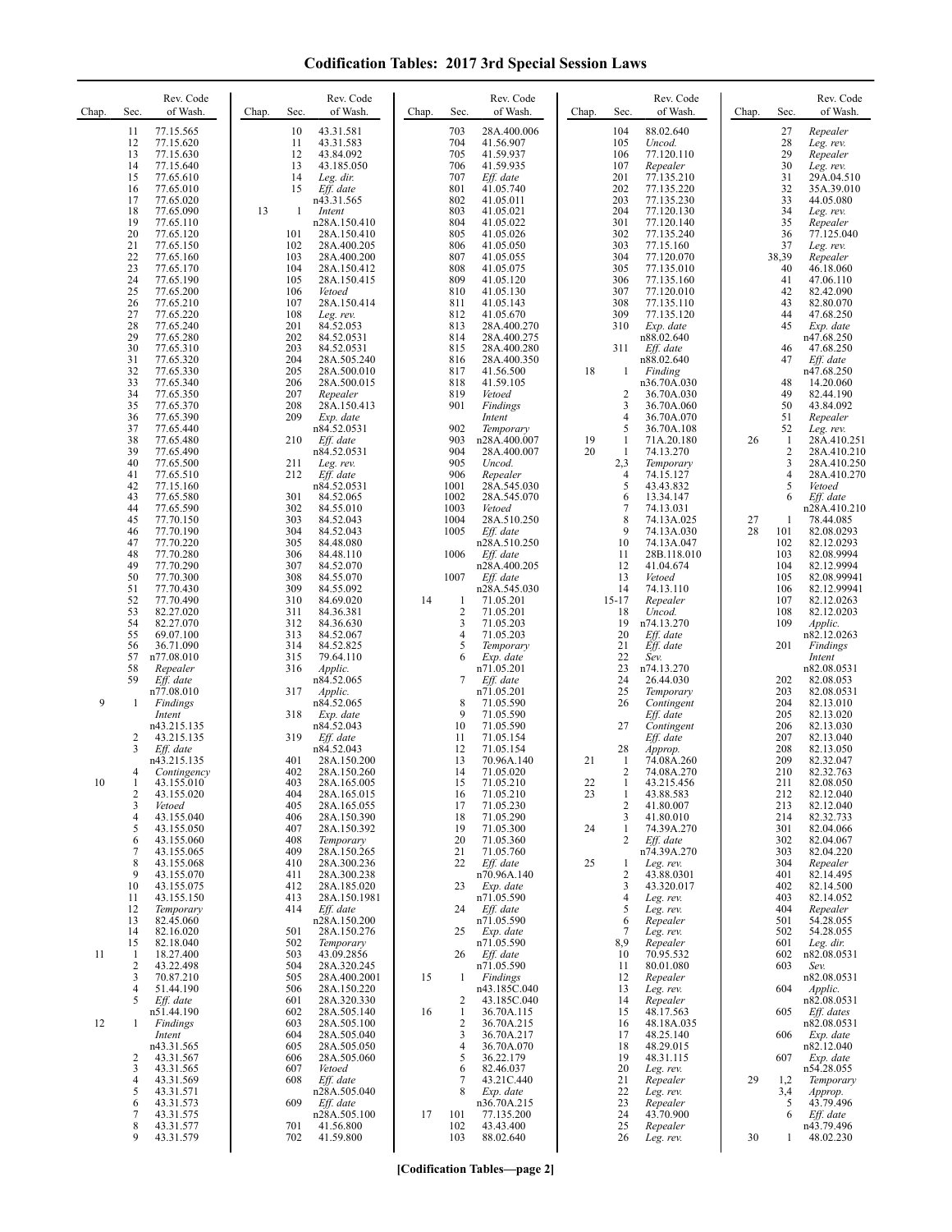## **Codification Tables: 2017 3rd Special Session Laws**

| 11<br>77.15.565<br>12<br>77.15.620<br>13<br>77.15.630<br>14<br>77.15.640                                                                                                                                                                                                                                                                                                                                                                                                                                                                                                                                                                                                                                                                                                                                                                                                                                                                                                                                                                                                                                                                                                                                                                                                                                                                                                                                                                                                                                                                                                                                                                                             | 10<br>43.31.581<br>11<br>43.31.583<br>12<br>43.84.092                                                                                                                                                                                                                                                                                                                                                                                                                                                                                                                                                                                                                                                                                                                                                                                                                                                                                                                                                                                                                                                                                                                                                                                                                                                                                                                                                                                                                                                                                                                                                                                                                                                                                     | 703<br>28A.400.006<br>704<br>41.56.907                                                                                                                                                                                                                                                                                                                                                                                                                                                                                                                                                                                                                                                                                                                                                                                                                                                                                                                                                                                                                                                                                                                                                                                                                                                                                                                                                                                                                                                                                                                                                                                                                                                                                | 88.02.640<br>104                                                                                                                                                                                                                                                                                                                                                                                                                                                                                                                                                                                                                                                                                                                                                                                                                                                                                                                                                                                                                                                                                                                                                                                                                                                                                                                                                                                                                                                                                                                                                                                                                                                                                                                                                                          | Repealer<br>27                                                                                                                                                                                                                                                                                                                                                                                                                                                                                                                                                                                                                                                                                                                                                                                                                                                                                                                                                                                                                                                                                                                                                                                                                                                                                                                                                                                                                                                                                                                                                                                                                                                                                                          |
|----------------------------------------------------------------------------------------------------------------------------------------------------------------------------------------------------------------------------------------------------------------------------------------------------------------------------------------------------------------------------------------------------------------------------------------------------------------------------------------------------------------------------------------------------------------------------------------------------------------------------------------------------------------------------------------------------------------------------------------------------------------------------------------------------------------------------------------------------------------------------------------------------------------------------------------------------------------------------------------------------------------------------------------------------------------------------------------------------------------------------------------------------------------------------------------------------------------------------------------------------------------------------------------------------------------------------------------------------------------------------------------------------------------------------------------------------------------------------------------------------------------------------------------------------------------------------------------------------------------------------------------------------------------------|-------------------------------------------------------------------------------------------------------------------------------------------------------------------------------------------------------------------------------------------------------------------------------------------------------------------------------------------------------------------------------------------------------------------------------------------------------------------------------------------------------------------------------------------------------------------------------------------------------------------------------------------------------------------------------------------------------------------------------------------------------------------------------------------------------------------------------------------------------------------------------------------------------------------------------------------------------------------------------------------------------------------------------------------------------------------------------------------------------------------------------------------------------------------------------------------------------------------------------------------------------------------------------------------------------------------------------------------------------------------------------------------------------------------------------------------------------------------------------------------------------------------------------------------------------------------------------------------------------------------------------------------------------------------------------------------------------------------------------------------|-----------------------------------------------------------------------------------------------------------------------------------------------------------------------------------------------------------------------------------------------------------------------------------------------------------------------------------------------------------------------------------------------------------------------------------------------------------------------------------------------------------------------------------------------------------------------------------------------------------------------------------------------------------------------------------------------------------------------------------------------------------------------------------------------------------------------------------------------------------------------------------------------------------------------------------------------------------------------------------------------------------------------------------------------------------------------------------------------------------------------------------------------------------------------------------------------------------------------------------------------------------------------------------------------------------------------------------------------------------------------------------------------------------------------------------------------------------------------------------------------------------------------------------------------------------------------------------------------------------------------------------------------------------------------------------------------------------------------|-------------------------------------------------------------------------------------------------------------------------------------------------------------------------------------------------------------------------------------------------------------------------------------------------------------------------------------------------------------------------------------------------------------------------------------------------------------------------------------------------------------------------------------------------------------------------------------------------------------------------------------------------------------------------------------------------------------------------------------------------------------------------------------------------------------------------------------------------------------------------------------------------------------------------------------------------------------------------------------------------------------------------------------------------------------------------------------------------------------------------------------------------------------------------------------------------------------------------------------------------------------------------------------------------------------------------------------------------------------------------------------------------------------------------------------------------------------------------------------------------------------------------------------------------------------------------------------------------------------------------------------------------------------------------------------------------------------------------------------------------------------------------------------------|-------------------------------------------------------------------------------------------------------------------------------------------------------------------------------------------------------------------------------------------------------------------------------------------------------------------------------------------------------------------------------------------------------------------------------------------------------------------------------------------------------------------------------------------------------------------------------------------------------------------------------------------------------------------------------------------------------------------------------------------------------------------------------------------------------------------------------------------------------------------------------------------------------------------------------------------------------------------------------------------------------------------------------------------------------------------------------------------------------------------------------------------------------------------------------------------------------------------------------------------------------------------------------------------------------------------------------------------------------------------------------------------------------------------------------------------------------------------------------------------------------------------------------------------------------------------------------------------------------------------------------------------------------------------------------------------------------------------------|
| 15<br>77.65.610<br>77.65.010<br>16<br>17<br>77.65.020<br>18<br>77.65.090<br>19<br>77.65.110<br>20<br>77.65.120<br>21<br>77.65.150<br>22<br>77.65.160<br>23<br>77.65.170<br>24<br>77.65.190<br>25<br>77.65.200<br>26<br>77.65.210<br>27<br>77.65.220<br>28<br>77.65.240<br>29<br>77.65.280<br>30<br>77.65.310<br>31<br>77.65.320<br>32<br>77.65.330<br>33<br>77.65.340<br>34<br>77.65.350<br>35<br>77.65.370<br>36<br>77.65.390<br>37<br>77.65.440<br>38<br>77.65.480<br>39<br>77.65.490<br>40<br>77.65.500<br>41<br>77.65.510<br>42<br>77.15.160<br>43<br>77.65.580<br>44<br>77.65.590<br>45<br>77.70.150<br>46<br>77.70.190<br>47<br>77.70.220<br>48<br>77.70.280<br>49<br>77.70.290<br>50<br>77.70.300<br>51<br>77.70.430<br>52<br>77.70.490<br>53<br>82.27.020<br>54<br>82.27.070<br>55<br>69.07.100<br>36.71.090<br>56<br>57<br>n77.08.010<br>58<br>Repealer<br>59<br>Eff. date<br>n77.08.010<br>9<br>1<br>Findings<br>Intent<br>n43.215.135<br>2<br>43.215.135<br>3<br>Eff. date<br>n43.215.135<br>4<br>Contingency<br>10<br>43.155.010<br>-1<br>$\overline{c}$<br>43.155.020<br>3<br>Vetoed<br>43.155.040<br>4<br>5<br>43.155.050<br>6<br>43.155.060<br>7<br>43.155.065<br>8<br>43.155.068<br>9<br>43.155.070<br>43.155.075<br>10<br>43.155.150<br>11<br>12<br>Temporary<br>82.45.060<br>13<br>82.16.020<br>14<br>15<br>82.18.040<br>18.27.400<br>11<br>1<br>$\overline{2}$<br>43.22.498<br>70.87.210<br>3<br>$\overline{4}$<br>51.44.190<br>5<br>Eff. date<br>n51.44.190<br>12<br>Findings<br>1<br>Intent<br>n43.31.565<br>$\overline{c}$<br>43.31.567<br>3<br>43.31.565<br>43.31.569<br>$\overline{4}$<br>5<br>43.31.571<br>43.31.573<br>6<br>7<br>43.31.575 | 13<br>43.185.050<br>14<br>Leg. dir.<br>15<br>Eff. date<br>n43.31.565<br>13<br>-1<br>Intent<br>n28A.150.410<br>101<br>28A.150.410<br>102<br>28A.400.205<br>103<br>28A.400.200<br>104<br>28A.150.412<br>105<br>28A.150.415<br>106<br>Vetoed<br>107<br>28A.150.414<br>108<br>Leg. rev.<br>201<br>84.52.053<br>202<br>84.52.0531<br>203<br>84.52.0531<br>204<br>28A.505.240<br>205<br>28A.500.010<br>206<br>28A.500.015<br>207<br>Repealer<br>208<br>28A.150.413<br>209<br>Exp. date<br>n84.52.0531<br>210<br>Eff. date<br>n84.52.0531<br>211<br>Leg. rev.<br>Eff. date<br>212<br>n84.52.0531<br>301<br>84.52.065<br>302<br>84.55.010<br>303<br>84.52.043<br>304<br>84.52.043<br>305<br>84.48.080<br>306<br>84.48.110<br>307<br>84.52.070<br>308<br>84.55.070<br>309<br>84.55.092<br>84.69.020<br>310<br>311<br>84.36.381<br>312<br>84.36.630<br>313<br>84.52.067<br>314<br>84.52.825<br>315<br>79.64.110<br>316<br>Applic.<br>n84.52.065<br>317<br>Applic.<br>n84.52.065<br>318<br>Exp. date<br>n84.52.043<br>319<br>Eff. date<br>n84.52.043<br>401<br>28A.150.200<br>402<br>28A.150.260<br>403<br>28A.165.005<br>404<br>28A.165.015<br>405<br>28A.165.055<br>28A.150.390<br>406<br>28A.150.392<br>407<br>408<br>Temporary<br>409<br>28A.150.265<br>410<br>28A.300.236<br>28A.300.238<br>411<br>412<br>28A.185.020<br>28A.150.1981<br>413<br>414<br>Eff. date<br>n28A.150.200<br>28A.150.276<br>501<br>502<br>Temporary<br>43.09.2856<br>503<br>504<br>28A.320.245<br>28A.400.2001<br>505<br>506<br>28A.150.220<br>28A.320.330<br>601<br>602<br>28A.505.140<br>603<br>28A.505.100<br>604<br>28A.505.040<br>605<br>28A.505.050<br>28A.505.060<br>606<br>607<br>Vetoed<br>608<br>Eff. date<br>n28A.505.040<br>609<br>Eff. date<br>n28A.505.100 | 705<br>41.59.937<br>706<br>41.59.935<br>707<br>Eff. date<br>801<br>41.05.740<br>802<br>41.05.011<br>803<br>41.05.021<br>804<br>41.05.022<br>805<br>41.05.026<br>806<br>41.05.050<br>807<br>41.05.055<br>808<br>41.05.075<br>809<br>41.05.120<br>810<br>41.05.130<br>811<br>41.05.143<br>812<br>41.05.670<br>813<br>28A.400.270<br>814<br>28A.400.275<br>815<br>28A.400.280<br>816<br>28A.400.350<br>817<br>41.56.500<br>818<br>41.59.105<br>819<br>Vetoed<br>901<br>Findings<br>Intent<br>902<br>Temporary<br>903<br>n28A.400.007<br>904<br>28A.400.007<br>905<br>Uncod.<br>906<br>Repealer<br>1001<br>28A.545.030<br>1002<br>28A.545.070<br>1003<br>Vetoed<br>1004<br>28A.510.250<br>1005<br>Eff. date<br>n28A.510.250<br>1006<br>Eff. date<br>n28A.400.205<br>1007<br>Eff. date<br>n28A.545.030<br>14<br>71.05.201<br>1<br>$\overline{c}$<br>71.05.201<br>71.05.203<br>3<br>$\overline{4}$<br>71.05.203<br>5<br>Temporary<br>Exp. date<br>6<br>n71.05.201<br>7<br>Eff. date<br>n71.05.201<br>8<br>71.05.590<br>9<br>71.05.590<br>10<br>71.05.590<br>11<br>71.05.154<br>71.05.154<br>12<br>13<br>70.96A.140<br>14<br>71.05.020<br>15<br>71.05.210<br>71.05.210<br>16<br>71.05.230<br>17<br>71.05.290<br>18<br>71.05.300<br>19<br>20<br>71.05.360<br>21<br>71.05.760<br>22<br>Eff. date<br>n70.96A.140<br>23<br>Exp. date<br>n71.05.590<br>24<br>Eff. date<br>n71.05.590<br>Exp. date<br>25<br>n71.05.590<br>Eff. date<br>26<br>n71.05.590<br>15<br>Findings<br>1<br>n43.185C.040<br>43.185C.040<br>2<br>$\mathbf{1}$<br>16<br>36.70A.115<br>2<br>36.70A.215<br>3<br>36.70A.217<br>4<br>36.70A.070<br>5<br>36.22.179<br>6<br>82.46.037<br>7<br>43.21C.440<br>8<br>Exp. date<br>n36.70A.215<br>17<br>101<br>77.135.200 | 105<br>Uncod.<br>106<br>77.120.110<br>107<br>Repealer<br>201<br>77.135.210<br>202<br>77.135.220<br>203<br>77.135.230<br>204<br>77.120.130<br>301<br>77.120.140<br>302<br>77.135.240<br>303<br>77.15.160<br>304<br>77.120.070<br>305<br>77.135.010<br>306<br>77.135.160<br>307<br>77.120.010<br>308<br>77.135.110<br>309<br>77.135.120<br>310<br>Exp. date<br>n88.02.640<br>311<br>$Eff.$ date<br>n88.02.640<br>18<br>Finding<br>1<br>n36.70A.030<br>$\overline{2}$<br>36.70A.030<br>3<br>36.70A.060<br>$\overline{4}$<br>36.70A.070<br>5<br>36.70A.108<br>$\mathbf{1}$<br>71A.20.180<br>19<br>20<br>1<br>74.13.270<br>2,3<br>Temporary<br>$\overline{4}$<br>74.15.127<br>5<br>43.43.832<br>6<br>13.34.147<br>7<br>74.13.031<br>8<br>74.13A.025<br>9<br>74.13A.030<br>10<br>74.13A.047<br>11<br>28B.118.010<br>12<br>41.04.674<br>13<br>Vetoed<br>14<br>74.13.110<br>$15 - 17$<br>Repealer<br>18<br>Uncod.<br>19<br>n74.13.270<br>20<br>Eff. date<br>21<br>Eff. date<br>22<br>Sev.<br>23<br>n74.13.270<br>24<br>26.44.030<br>25<br>Temporary<br>26<br>Contingent<br>Eff. date<br>27<br>Contingent<br>Eff. date<br>28<br>Approp.<br>21<br>1<br>74.08A.260<br>2<br>74.08A.270<br>22<br>-1<br>43.215.456<br>23<br>1<br>43.88.583<br>$\overline{c}$<br>41.80.007<br>41.80.010<br>3<br>24<br>74.39A.270<br>1<br>2<br>Eff. date<br>n74.39A.270<br>25<br>Leg. rev.<br>1<br>2<br>43.88.0301<br>3<br>43.320.017<br>4<br>Leg. rev.<br>5<br>Leg. rev.<br>6<br>Repealer<br>7<br>Leg. rev.<br>8,9<br>Repealer<br>70.95.532<br>10<br>80.01.080<br>11<br>12<br>Repealer<br>13<br>Leg. rev.<br>14<br>Repealer<br>15<br>48.17.563<br>48.18A.035<br>16<br>48.25.140<br>17<br>48.29.015<br>18<br>48.31.115<br>19<br>20<br>Leg. rev.<br>21<br>Repealer<br>22<br>Leg. rev.<br>23<br>Repealer<br>24<br>43.70.900 | 28<br>Leg. rev.<br>29<br>Repealer<br>30<br>Leg. rev.<br>31<br>29A.04.510<br>32<br>35A.39.010<br>33<br>44.05.080<br>34<br>Leg. rev.<br>35<br>Repealer<br>36<br>77.125.040<br>37<br>Leg. rev.<br>38,39<br>Repealer<br>40<br>46.18.060<br>41<br>47.06.110<br>42<br>82.42.090<br>43<br>82.80.070<br>44<br>47.68.250<br>45<br>Exp. date<br>n47.68.250<br>46<br>47.68.250<br>47<br>Eff. date<br>n47.68.250<br>48<br>14.20.060<br>49<br>82.44.190<br>50<br>43.84.092<br>51<br>Repealer<br>52<br>Leg. rev.<br>26<br>1<br>28A.410.251<br>$\overline{c}$<br>28A.410.210<br>3<br>28A.410.250<br>4<br>28A.410.270<br>5<br>Vetoed<br>6<br>Eff. date<br>n28A.410.210<br>27<br>1<br>78.44.085<br>28<br>101<br>82.08.0293<br>102<br>82.12.0293<br>103<br>82.08.9994<br>104<br>82.12.9994<br>105<br>82.08.99941<br>106<br>82.12.99941<br>107<br>82.12.0263<br>108<br>82.12.0203<br>109<br>Applic.<br>n82.12.0263<br>201<br>Findings<br>Intent<br>n82.08.0531<br>202<br>82.08.053<br>203<br>82.08.0531<br>204<br>82.13.010<br>205<br>82.13.020<br>206<br>82.13.030<br>207<br>82.13.040<br>208<br>82.13.050<br>209<br>82.32.047<br>210<br>82.32.763<br>211<br>82.08.050<br>212<br>82.12.040<br>213<br>82.12.040<br>82.32.733<br>214<br>301<br>82.04.066<br>302<br>82.04.067<br>303<br>82.04.220<br>304<br>Repealer<br>401<br>82.14.495<br>402<br>82.14.500<br>403<br>82.14.052<br>404<br>Repealer<br>501<br>54.28.055<br>54.28.055<br>502<br>601<br>Leg. dir.<br>n82.08.0531<br>602<br>603<br>Sev.<br>n82.08.0531<br>604<br>Applic.<br>n82.08.0531<br>605<br>Eff. dates<br>n82.08.0531<br>606<br>Exp. date<br>n82.12.040<br>607<br>Exp. date<br>n54.28.055<br>29<br>1,2<br>Temporary<br>3,4<br>Approp.<br>43.79.496<br>5<br>Eff. date<br>6 |
| 8<br>43.31.577<br>9<br>43.31.579                                                                                                                                                                                                                                                                                                                                                                                                                                                                                                                                                                                                                                                                                                                                                                                                                                                                                                                                                                                                                                                                                                                                                                                                                                                                                                                                                                                                                                                                                                                                                                                                                                     | 701<br>41.56.800<br>41.59.800<br>702                                                                                                                                                                                                                                                                                                                                                                                                                                                                                                                                                                                                                                                                                                                                                                                                                                                                                                                                                                                                                                                                                                                                                                                                                                                                                                                                                                                                                                                                                                                                                                                                                                                                                                      | 43.43.400<br>102<br>103<br>88.02.640                                                                                                                                                                                                                                                                                                                                                                                                                                                                                                                                                                                                                                                                                                                                                                                                                                                                                                                                                                                                                                                                                                                                                                                                                                                                                                                                                                                                                                                                                                                                                                                                                                                                                  | 25<br>Repealer<br>26<br>Leg. rev.                                                                                                                                                                                                                                                                                                                                                                                                                                                                                                                                                                                                                                                                                                                                                                                                                                                                                                                                                                                                                                                                                                                                                                                                                                                                                                                                                                                                                                                                                                                                                                                                                                                                                                                                                         | n43.79.496<br>48.02.230<br>30<br>1                                                                                                                                                                                                                                                                                                                                                                                                                                                                                                                                                                                                                                                                                                                                                                                                                                                                                                                                                                                                                                                                                                                                                                                                                                                                                                                                                                                                                                                                                                                                                                                                                                                                                      |

**[Codification Tables—page 2]**